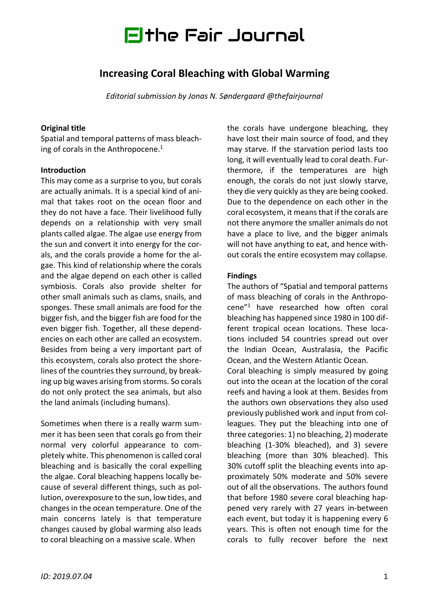

## **Increasing Coral Bleaching with Global Warming**

*Editorial submission by Jonas N. Søndergaard @thefairjournal*

### **Original title**

Spatial and temporal patterns of mass bleaching of corals in the Anthropocene. 1

### **Introduction**

This may come as a surprise to you, but corals are actually animals. It is a special kind of animal that takes root on the ocean floor and they do not have a face. Their livelihood fully depends on a relationship with very small plants called algae. The algae use energy from the sun and convert it into energy for the corals, and the corals provide a home for the algae. This kind of relationship where the corals and the algae depend on each other is called symbiosis. Corals also provide shelter for other small animals such as clams, snails, and sponges. These small animals are food for the bigger fish, and the bigger fish are food for the even bigger fish. Together, all these dependencies on each other are called an ecosystem. Besides from being a very important part of this ecosystem, corals also protect the shorelines of the countries they surround, by breaking up big waves arising from storms. So corals do not only protect the sea animals, but also the land animals (including humans).

Sometimes when there is a really warm summer it has been seen that corals go from their normal very colorful appearance to completely white. This phenomenon is called coral bleaching and is basically the coral expelling the algae. Coral bleaching happens locally because of several different things, such as pollution, overexposure to the sun, low tides, and changes in the ocean temperature. One of the main concerns lately is that temperature changes caused by global warming also leads to coral bleaching on a massive scale. When

the corals have undergone bleaching, they have lost their main source of food, and they may starve. If the starvation period lasts too long, it will eventually lead to coral death. Furthermore, if the temperatures are high enough, the corals do not just slowly starve, they die very quickly as they are being cooked. Due to the dependence on each other in the coral ecosystem, it means that if the corals are not there anymore the smaller animals do not have a place to live, and the bigger animals will not have anything to eat, and hence without corals the entire ecosystem may collapse.

### **Findings**

The authors of "Spatial and temporal patterns of mass bleaching of corals in the Anthropocene"1 have researched how often coral bleaching has happened since 1980 in 100 different tropical ocean locations. These locations included 54 countries spread out over the Indian Ocean, Australasia, the Pacific Ocean, and the Western Atlantic Ocean. Coral bleaching is simply measured by going

out into the ocean at the location of the coral reefs and having a look at them. Besides from the authors own observations they also used previously published work and input from colleagues. They put the bleaching into one of three categories: 1) no bleaching, 2) moderate bleaching (1-30% bleached), and 3) severe bleaching (more than 30% bleached). This 30% cutoff split the bleaching events into approximately 50% moderate and 50% severe out of all the observations. The authors found that before 1980 severe coral bleaching happened very rarely with 27 years in-between each event, but today it is happening every 6 years. This is often not enough time for the corals to fully recover before the next